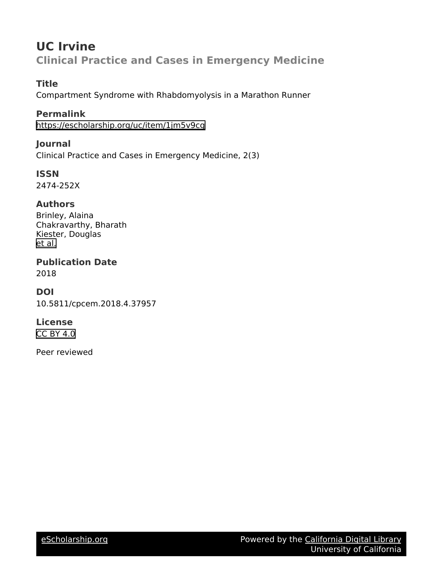## **UC Irvine Clinical Practice and Cases in Emergency Medicine**

## **Title**

Compartment Syndrome with Rhabdomyolysis in a Marathon Runner

## **Permalink**

<https://escholarship.org/uc/item/1jm5v9cg>

## **Journal**

Clinical Practice and Cases in Emergency Medicine, 2(3)

## **ISSN**

2474-252X

## **Authors**

Brinley, Alaina Chakravarthy, Bharath Kiester, Douglas [et al.](https://escholarship.org/uc/item/1jm5v9cg#author)

# **Publication Date**

2018

## **DOI**

10.5811/cpcem.2018.4.37957

## **License**

[CC BY 4.0](https://creativecommons.org/licenses/by/4.0)

Peer reviewed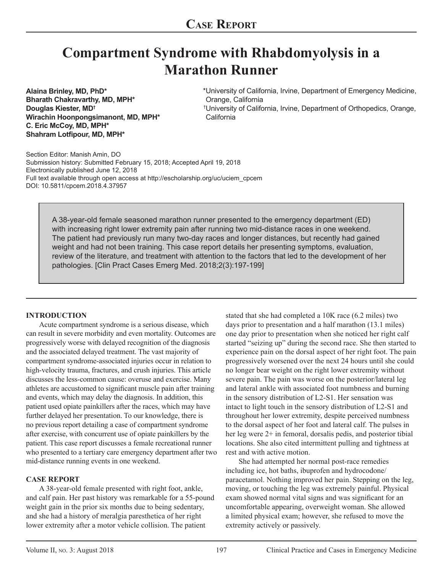# **Compartment Syndrome with Rhabdomyolysis in a Marathon Runner**

**Alaina Brinley, MD, PhD\* Bharath Chakravarthy, MD, MPH\* Douglas Kiester, MD† Wirachin Hoonpongsimanont, MD, MPH\* C. Eric McCoy, MD, MPH\* Shahram Lotfipour, MD, MPH\***

University of California, Irvine, Department of Emergency Medicine, \* Orange, California University of California, Irvine, Department of Orthopedics, Orange, †California

Section Editor: Manish Amin, DO Submission history: Submitted February 15, 2018; Accepted April 19, 2018 Electronically published June 12, 2018 Full text available through open access at http://escholarship.org/uc/uciem\_cpcem DOI: 10.5811/cpcem.2018.4.37957

> A 38-year-old female seasoned marathon runner presented to the emergency department (ED) with increasing right lower extremity pain after running two mid-distance races in one weekend. The patient had previously run many two-day races and longer distances, but recently had gained weight and had not been training. This case report details her presenting symptoms, evaluation, review of the literature, and treatment with attention to the factors that led to the development of her pathologies. [Clin Pract Cases Emerg Med. 2018;2(3):197-199]

#### **INTRODUCTION**

Acute compartment syndrome is a serious disease, which can result in severe morbidity and even mortality. Outcomes are progressively worse with delayed recognition of the diagnosis and the associated delayed treatment. The vast majority of compartment syndrome-associated injuries occur in relation to high-velocity trauma, fractures, and crush injuries. This article discusses the less-common cause: overuse and exercise. Many athletes are accustomed to significant muscle pain after training and events, which may delay the diagnosis. In addition, this patient used opiate painkillers after the races, which may have further delayed her presentation. To our knowledge, there is no previous report detailing a case of compartment syndrome after exercise, with concurrent use of opiate painkillers by the patient. This case report discusses a female recreational runner who presented to a tertiary care emergency department after two mid-distance running events in one weekend.

#### **CASE REPORT**

A 38-year-old female presented with right foot, ankle, and calf pain. Her past history was remarkable for a 55-pound weight gain in the prior six months due to being sedentary, and she had a history of meralgia paresthetica of her right lower extremity after a motor vehicle collision. The patient

stated that she had completed a 10K race (6.2 miles) two days prior to presentation and a half marathon (13.1 miles) one day prior to presentation when she noticed her right calf started "seizing up" during the second race. She then started to experience pain on the dorsal aspect of her right foot. The pain progressively worsened over the next 24 hours until she could no longer bear weight on the right lower extremity without severe pain. The pain was worse on the posterior/lateral leg and lateral ankle with associated foot numbness and burning in the sensory distribution of L2-S1. Her sensation was intact to light touch in the sensory distribution of L2-S1 and throughout her lower extremity, despite perceived numbness to the dorsal aspect of her foot and lateral calf. The pulses in her leg were 2+ in femoral, dorsalis pedis, and posterior tibial locations. She also cited intermittent pulling and tightness at rest and with active motion.

She had attempted her normal post-race remedies including ice, hot baths, ibuprofen and hydrocodone/ paracetamol. Nothing improved her pain. Stepping on the leg, moving, or touching the leg was extremely painful. Physical exam showed normal vital signs and was significant for an uncomfortable appearing, overweight woman. She allowed a limited physical exam; however, she refused to move the extremity actively or passively.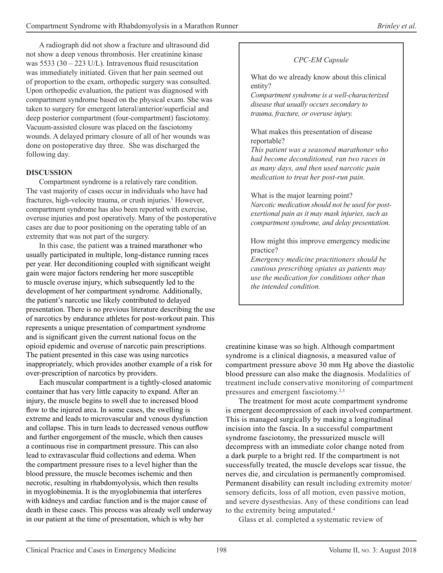A radiograph did not show a fracture and ultrasound did not show a deep venous thrombosis. Her creatinine kinase was 5533 (30 – 223 U/L). Intravenous fluid resuscitation was immediately initiated. Given that her pain seemed out of proportion to the exam, orthopedic surgery was consulted. Upon orthopedic evaluation, the patient was diagnosed with compartment syndrome based on the physical exam. She was taken to surgery for emergent lateral/anterior/superficial and deep posterior compartment (four-compartment) fasciotomy. Vacuum-assisted closure was placed on the fasciotomy wounds. A delayed primary closure of all of her wounds was done on postoperative day three. She was discharged the following day.

### **DISCUSSION**

Compartment syndrome is a relatively rare condition. The vast majority of cases occur in individuals who have had fractures, high-velocity trauma, or crush injuries.<sup>1</sup> However, compartment syndrome has also been reported with exercise, overuse injuries and post operatively. Many of the postoperative cases are due to poor positioning on the operating table of an extremity that was not part of the surgery.

In this case, the patient was a trained marathoner who usually participated in multiple, long-distance running races per year. Her deconditioning coupled with significant weight gain were major factors rendering her more susceptible to muscle overuse injury, which subsequently led to the development of her compartment syndrome. Additionally, the patient's narcotic use likely contributed to delayed presentation. There is no previous literature describing the use of narcotics by endurance athletes for post-workout pain. This represents a unique presentation of compartment syndrome and is significant given the current national focus on the opioid epidemic and overuse of narcotic pain prescriptions. The patient presented in this case was using narcotics inappropriately, which provides another example of a risk for over-prescription of narcotics by providers.

Each muscular compartment is a tightly-closed anatomic container that has very little capacity to expand. After an injury, the muscle begins to swell due to increased blood flow to the injured area. In some cases, the swelling is extreme and leads to microvascular and venous dysfunction and collapse. This in turn leads to decreased venous outflow and further engorgement of the muscle, which then causes a continuous rise in compartment pressure. This can also lead to extravascular fluid collections and edema. When the compartment pressure rises to a level higher than the blood pressure, the muscle becomes ischemic and then necrotic, resulting in rhabdomyolysis, which then results in myoglobinemia. It is the myoglobinemia that interferes with kidneys and cardiac function and is the major cause of death in these cases. This process was already well underway in our patient at the time of presentation, which is why her

### *CPC-EM Capsule*

What do we already know about this clinical entity?

*Compartment syndrome is a well-characterized disease that usually occurs secondary to trauma, fracture, or overuse injury.*

### What makes this presentation of disease reportable?

*This patient was a seasoned marathoner who had become deconditioned, ran two races in as many days, and then used narcotic pain medication to treat her post-run pain.*

What is the major learning point? *Narcotic medication should not be used for postexertional pain as it may mask injuries, such as compartment syndrome, and delay presentation.*

How might this improve emergency medicine practice?

*Emergency medicine practitioners should be cautious prescribing opiates as patients may use the medication for conditions other than the intended condition.*

creatinine kinase was so high. Although compartment syndrome is a clinical diagnosis, a measured value of compartment pressure above 30 mm Hg above the diastolic blood pressure can also make the diagnosis. Modalities of treatment include conservative monitoring of compartment pressures and emergent fasciotomy.2,3

The treatment for most acute compartment syndrome is emergent decompression of each involved compartment. This is managed surgically by making a longitudinal incision into the fascia. In a successful compartment syndrome fasciotomy, the pressurized muscle will decompress with an immediate color change noted from a dark purple to a bright red. If the compartment is not successfully treated, the muscle develops scar tissue, the nerves die, and circulation is permanently compromised. Permanent disability can result including extremity motor/ sensory deficits, loss of all motion, even passive motion, and severe dysesthesias. Any of these conditions can lead to the extremity being amputated.<sup>4</sup>

Glass et al. completed a systematic review of